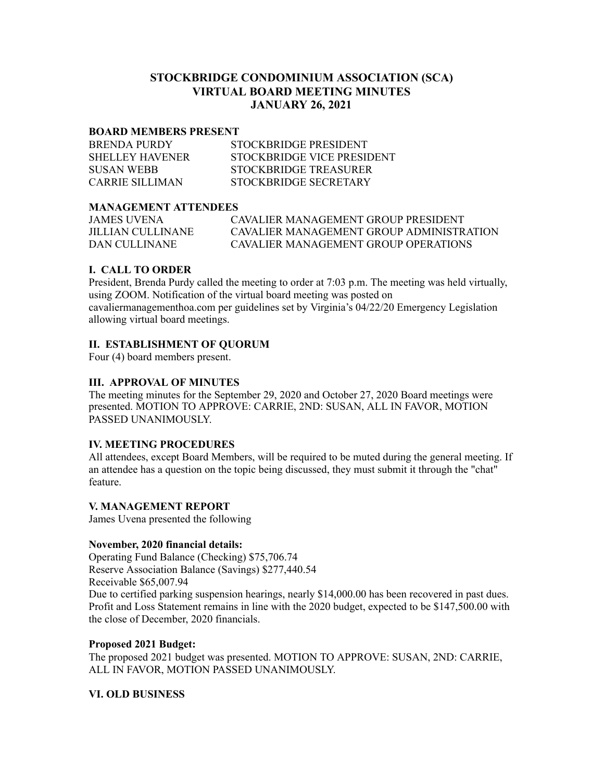# **STOCKBRIDGE CONDOMINIUM ASSOCIATION (SCA) VIRTUAL BOARD MEETING MINUTES JANUARY 26, 2021**

#### **BOARD MEMBERS PRESENT**

| <b>BRENDA PURDY</b> | STOCKBRIDGE PRESIDENT      |
|---------------------|----------------------------|
| SHELLEY HAVENER     | STOCKBRIDGE VICE PRESIDENT |
| <b>SUSAN WEBB</b>   | STOCKBRIDGE TREASURER      |
| CARRIE SILLIMAN     | STOCKBRIDGE SECRETARY      |

### **MANAGEMENT ATTENDEES**

| JAMES UVENA       | CAVALIER MANAGEMENT GROUP PRESIDENT      |
|-------------------|------------------------------------------|
| JILLIAN CULLINANE | CAVALIER MANAGEMENT GROUP ADMINISTRATION |
| DAN CULLINANE     | CAVALIER MANAGEMENT GROUP OPER ATIONS    |

## **I. CALL TO ORDER**

President, Brenda Purdy called the meeting to order at 7:03 p.m. The meeting was held virtually, using ZOOM. Notification of the virtual board meeting was posted on cavaliermanagementhoa.com per guidelines set by Virginia's 04/22/20 Emergency Legislation allowing virtual board meetings.

## **II. ESTABLISHMENT OF QUORUM**

Four (4) board members present.

### **III. APPROVAL OF MINUTES**

The meeting minutes for the September 29, 2020 and October 27, 2020 Board meetings were presented. MOTION TO APPROVE: CARRIE, 2ND: SUSAN, ALL IN FAVOR, MOTION PASSED UNANIMOUSLY.

### **IV. MEETING PROCEDURES**

All attendees, except Board Members, will be required to be muted during the general meeting. If an attendee has a question on the topic being discussed, they must submit it through the "chat" feature.

### **V. MANAGEMENT REPORT**

James Uvena presented the following

### **November, 2020 financial details:**

Operating Fund Balance (Checking) \$75,706.74 Reserve Association Balance (Savings) \$277,440.54 Receivable \$65,007.94 Due to certified parking suspension hearings, nearly \$14,000.00 has been recovered in past dues. Profit and Loss Statement remains in line with the 2020 budget, expected to be \$147,500.00 with the close of December, 2020 financials.

### **Proposed 2021 Budget:**

The proposed 2021 budget was presented. MOTION TO APPROVE: SUSAN, 2ND: CARRIE, ALL IN FAVOR, MOTION PASSED UNANIMOUSLY.

### **VI. OLD BUSINESS**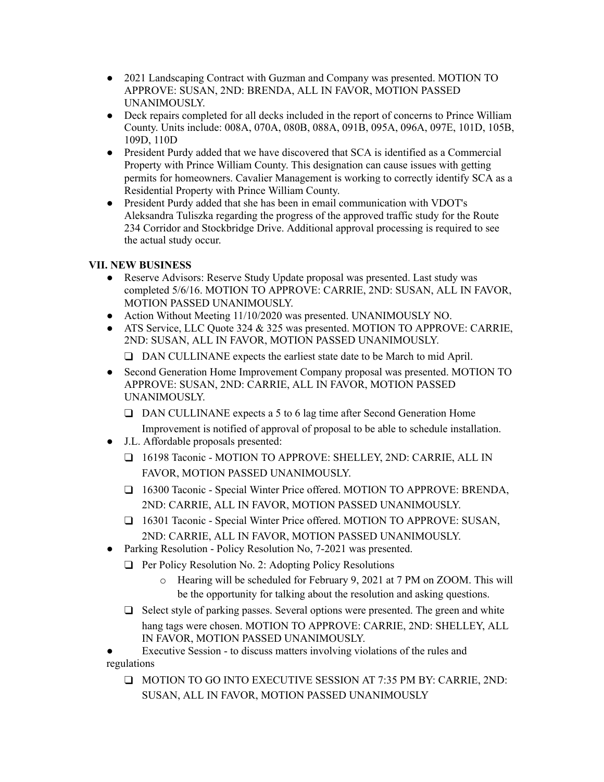- 2021 Landscaping Contract with Guzman and Company was presented. MOTION TO APPROVE: SUSAN, 2ND: BRENDA, ALL IN FAVOR, MOTION PASSED UNANIMOUSLY.
- Deck repairs completed for all decks included in the report of concerns to Prince William County. Units include: 008A, 070A, 080B, 088A, 091B, 095A, 096A, 097E, 101D, 105B, 109D, 110D
- President Purdy added that we have discovered that SCA is identified as a Commercial Property with Prince William County. This designation can cause issues with getting permits for homeowners. Cavalier Management is working to correctly identify SCA as a Residential Property with Prince William County.
- President Purdy added that she has been in email communication with VDOT's Aleksandra Tuliszka regarding the progress of the approved traffic study for the Route 234 Corridor and Stockbridge Drive. Additional approval processing is required to see the actual study occur.

# **VII. NEW BUSINESS**

- Reserve Advisors: Reserve Study Update proposal was presented. Last study was completed 5/6/16. MOTION TO APPROVE: CARRIE, 2ND: SUSAN, ALL IN FAVOR, MOTION PASSED UNANIMOUSLY.
- Action Without Meeting 11/10/2020 was presented. UNANIMOUSLY NO.
- ATS Service, LLC Quote 324 & 325 was presented. MOTION TO APPROVE: CARRIE, 2ND: SUSAN, ALL IN FAVOR, MOTION PASSED UNANIMOUSLY.

❑ DAN CULLINANE expects the earliest state date to be March to mid April.

- Second Generation Home Improvement Company proposal was presented. MOTION TO APPROVE: SUSAN, 2ND: CARRIE, ALL IN FAVOR, MOTION PASSED UNANIMOUSLY.
	- ❑ DAN CULLINANE expects a 5 to 6 lag time after Second Generation Home Improvement is notified of approval of proposal to be able to schedule installation.
- J.L. Affordable proposals presented:
	- ❑ 16198 Taconic MOTION TO APPROVE: SHELLEY, 2ND: CARRIE, ALL IN FAVOR, MOTION PASSED UNANIMOUSLY.
	- □ 16300 Taconic Special Winter Price offered. MOTION TO APPROVE: BRENDA, 2ND: CARRIE, ALL IN FAVOR, MOTION PASSED UNANIMOUSLY.
	- □ 16301 Taconic Special Winter Price offered. MOTION TO APPROVE: SUSAN, 2ND: CARRIE, ALL IN FAVOR, MOTION PASSED UNANIMOUSLY.
	- Parking Resolution Policy Resolution No, 7-2021 was presented.
	- ❑ Per Policy Resolution No. 2: Adopting Policy Resolutions
		- o Hearing will be scheduled for February 9, 2021 at 7 PM on ZOOM. This will be the opportunity for talking about the resolution and asking questions.
	- ❑ Select style of parking passes. Several options were presented. The green and white hang tags were chosen. MOTION TO APPROVE: CARRIE, 2ND: SHELLEY, ALL IN FAVOR, MOTION PASSED UNANIMOUSLY.

Executive Session - to discuss matters involving violations of the rules and regulations

❑ MOTION TO GO INTO EXECUTIVE SESSION AT 7:35 PM BY: CARRIE, 2ND: SUSAN, ALL IN FAVOR, MOTION PASSED UNANIMOUSLY